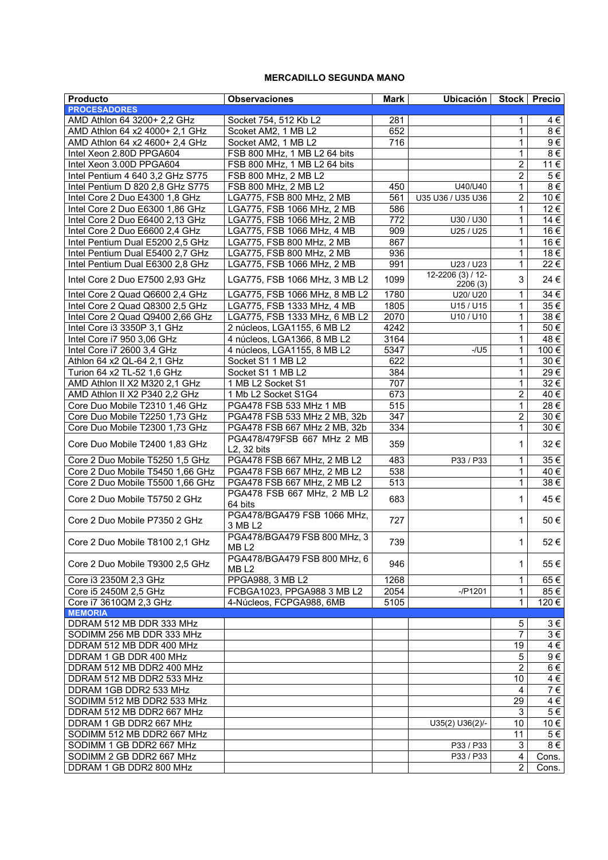## **MERCADILLO SEGUNDA MANO**

| <b>Producto</b>                  | <b>Observaciones</b>                             | <b>Mark</b>      | Ubicación   Stock   Precio   |                |                     |
|----------------------------------|--------------------------------------------------|------------------|------------------------------|----------------|---------------------|
| <b>PROCESADORES</b>              |                                                  |                  |                              |                |                     |
| AMD Athlon 64 3200+ 2,2 GHz      | Socket 754, 512 Kb L2                            | 281              |                              | 1              | 4€                  |
| AMD Athlon 64 x2 4000+ 2,1 GHz   | Scoket AM2, 1 MB L2                              | 652              |                              | 1              | 8€                  |
| AMD Athlon 64 x2 4600+ 2.4 GHz   | Socket AM2, 1 MB L2                              | $\overline{716}$ |                              | 1              | 9€                  |
| Intel Xeon 2.80D PPGA604         | FSB 800 MHz, 1 MB L2 64 bits                     |                  |                              | 1              | 8€                  |
| Intel Xeon 3.00D PPGA604         | FSB 800 MHz, 1 MB L2 64 bits                     |                  |                              | 2              | 11€                 |
| Intel Pentium 4 640 3,2 GHz S775 | FSB 800 MHz, 2 MB L2                             |                  |                              | $\overline{2}$ | 5€                  |
| Intel Pentium D 820 2,8 GHz S775 | FSB 800 MHz, 2 MB L2                             | 450              | U40/U40                      | 1              | 8€                  |
| Intel Core 2 Duo E4300 1,8 GHz   | LGA775, FSB 800 MHz, 2 MB                        | 561              | U35 U36 / U35 U36            | $\overline{c}$ | 10€                 |
|                                  |                                                  |                  |                              |                |                     |
| Intel Core 2 Duo E6300 1,86 GHz  | LGA775, FSB 1066 MHz, 2 MB                       | 586              |                              | 1              | 12 €                |
| Intel Core 2 Duo E6400 2,13 GHz  | LGA775, FSB 1066 MHz, 2 MB                       | 772              | U30 / U30                    | 1              | 14 €                |
| Intel Core 2 Duo E6600 2,4 GHz   | LGA775, FSB 1066 MHz, 4 MB                       | 909              | U25 / U25                    | 1              | 16 €                |
| Intel Pentium Dual E5200 2,5 GHz | LGA775, FSB 800 MHz, 2 MB                        | 867              |                              | 1              | 16 €                |
| Intel Pentium Dual E5400 2,7 GHz | LGA775, FSB 800 MHz, 2 MB                        | 936              |                              | 1              | 18€                 |
| Intel Pentium Dual E6300 2,8 GHz | LGA775, FSB 1066 MHz, 2 MB                       | 991              | U23 / U23                    | $\mathbf{1}$   | 22€                 |
| Intel Core 2 Duo E7500 2,93 GHz  | LGA775, FSB 1066 MHz, 3 MB L2                    | 1099             | 12-2206 (3) / 12-<br>2206(3) | 3              | 24 €                |
| Intel Core 2 Quad Q6600 2.4 GHz  | LGA775, FSB 1066 MHz, 8 MB L2                    | 1780             | U20/ U20                     | 1              | 34 €                |
| Intel Core 2 Quad Q8300 2.5 GHz  | LGA775, FSB 1333 MHz, 4 MB                       | 1805             | U15 / U15                    | $\mathbf 1$    | 35 €                |
|                                  |                                                  | 2070             |                              |                |                     |
| Intel Core 2 Quad Q9400 2,66 GHz | LGA775, FSB 1333 MHz, 6 MB L2                    |                  | U10 / U10                    | $\mathbf{1}$   | 38€                 |
| Intel Core i3 3350P 3,1 GHz      | 2 núcleos, LGA1155, 6 MB L2                      | 4242             |                              | 1              | 50€                 |
| Intel Core i7 950 3,06 GHz       | 4 núcleos, LGA1366, 8 MB L2                      | 3164             |                              | $\mathbf 1$    | 48€                 |
| Intel Core i7 2600 3,4 GHz       | 4 núcleos, LGA1155, 8 MB L2                      | 5347             | $-/U5$                       | 1              | 100 €               |
| Athlon 64 x2 QL-64 2,1 GHz       | Socket S1 1 MB L2                                | 622              |                              | 1              | 30 €                |
| Turion 64 x2 TL-52 1,6 GHz       | Socket S1 1 MB L2                                | 384              |                              | 1              | 29€                 |
| AMD Athlon II X2 M320 2,1 GHz    | 1 MB L2 Socket S1                                | 707              |                              | 1              | 32 €                |
| AMD Athlon II X2 P340 2,2 GHz    | 1 Mb L2 Socket S1G4                              | 673              |                              | 2              | 40 €                |
| Core Duo Mobile T2310 1,46 GHz   | PGA478 FSB 533 MHz 1 MB                          | 515              |                              | $\mathbf{1}$   | 28€                 |
| Core Duo Mobile T2250 1,73 GHz   | PGA478 FSB 533 MHz 2 MB, 32b                     | 347              |                              | 2              | 30 €                |
| Core Duo Mobile T2300 1,73 GHz   | PGA478 FSB 667 MHz 2 MB, 32b                     | 334              |                              | 1              | 30 €                |
| Core Duo Mobile T2400 1,83 GHz   | PGA478/479FSB 667 MHz 2 MB<br>L2, 32 bits        | 359              |                              | 1              | 32 €                |
| Core 2 Duo Mobile T5250 1,5 GHz  | PGA478 FSB 667 MHz, 2 MB L2                      | 483              | P33 / P33                    | $\mathbf{1}$   | 35 €                |
| Core 2 Duo Mobile T5450 1,66 GHz | PGA478 FSB 667 MHz, 2 MB L2                      | 538              |                              | 1.             | 40 €                |
| Core 2 Duo Mobile T5500 1,66 GHz | PGA478 FSB 667 MHz, 2 MB L2                      | 513              |                              | $\mathbf{1}$   | $38 \in$            |
|                                  | PGA478 FSB 667 MHz, 2 MB L2                      |                  |                              |                |                     |
| Core 2 Duo Mobile T5750 2 GHz    | 64 bits                                          | 683              |                              | 1              | 45 €                |
| Core 2 Duo Mobile P7350 2 GHz    | PGA478/BGA479 FSB 1066 MHz,<br>3 MB L2           | 727              |                              | 1.             | 50€                 |
| Core 2 Duo Mobile T8100 2,1 GHz  | PGA478/BGA479 FSB 800 MHz, 3<br>MB <sub>L2</sub> | 739              |                              | $\mathbf{1}$   | 52€                 |
| Core 2 Duo Mobile T9300 2,5 GHz  | PGA478/BGA479 FSB 800 MHz, 6<br>MB <sub>L2</sub> | 946              |                              | 1.             | 55€                 |
| Core i3 2350M 2,3 GHz            | PPGA988, 3 MB L2                                 | 1268             |                              | 1              | 65€                 |
| Core i5 2450M 2,5 GHz            | FCBGA1023, PPGA988 3 MB L2                       | 2054             | $-$ /P1201                   | 1              | 85€                 |
| Core i7 3610QM 2,3 GHz           | 4-Núcleos, FCPGA988, 6MB                         | 5105             |                              | $\mathbf 1$    | 120€                |
| <b>MEMORIA</b>                   |                                                  |                  |                              |                |                     |
| DDRAM 512 MB DDR 333 MHz         |                                                  |                  |                              | 5              | 3€                  |
| SODIMM 256 MB DDR 333 MHz        |                                                  |                  |                              | 7              | $3 \in$             |
| DDRAM 512 MB DDR 400 MHz         |                                                  |                  |                              | 19             | $\sqrt{4 \epsilon}$ |
| DDRAM 1 GB DDR 400 MHz           |                                                  |                  |                              | 5              | 9€                  |
| DDRAM 512 MB DDR2 400 MHz        |                                                  |                  |                              | $\overline{c}$ | 6€                  |
| DDRAM 512 MB DDR2 533 MHz        |                                                  |                  |                              | 10             | 4€                  |
| DDRAM 1GB DDR2 533 MHz           |                                                  |                  |                              | 4              | 7€                  |
| SODIMM 512 MB DDR2 533 MHz       |                                                  |                  |                              | 29             | $\sqrt{4 \epsilon}$ |
| DDRAM 512 MB DDR2 667 MHz        |                                                  |                  |                              | 3              | 5€                  |
| DDRAM 1 GB DDR2 667 MHz          |                                                  |                  | $U35(2) U36(2)$ /-           | 10             | 10 €                |
| SODIMM 512 MB DDR2 667 MHz       |                                                  |                  |                              | 11             | 5€                  |
|                                  |                                                  |                  |                              |                |                     |
| SODIMM 1 GB DDR2 667 MHz         |                                                  |                  | P33 / P33                    | $\mathbf{3}$   | $8 \in$             |
| SODIMM 2 GB DDR2 667 MHz         |                                                  |                  | P33 / P33                    | 4              | Cons.               |
| DDRAM 1 GB DDR2 800 MHz          |                                                  |                  |                              | $\overline{2}$ | Cons.               |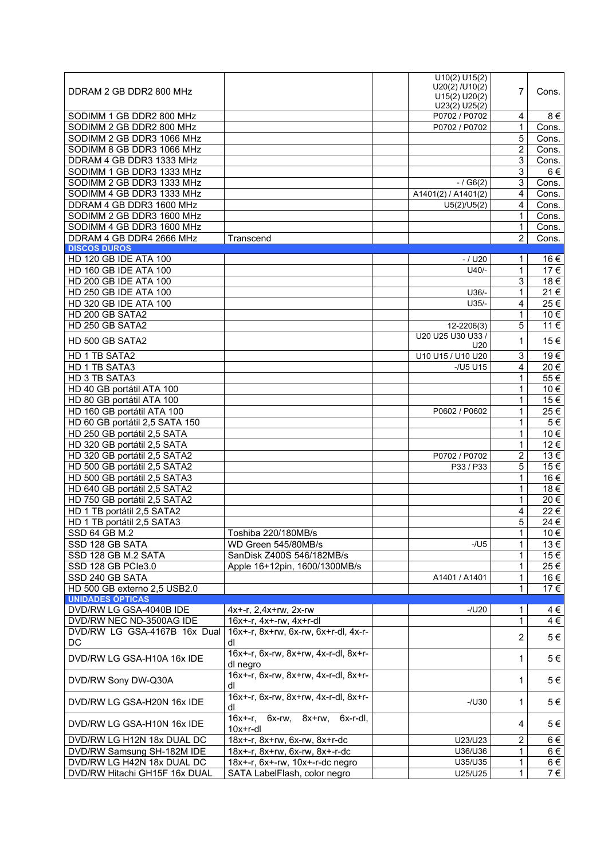| DDRAM 2 GB DDR2 800 MHz        |                                            | U10(2) U15(2)<br>U20(2) / U10(2)<br>U15(2) U20(2)<br>U23(2) U25(2) | $\overline{7}$ | Cons.    |
|--------------------------------|--------------------------------------------|--------------------------------------------------------------------|----------------|----------|
| SODIMM 1 GB DDR2 800 MHz       |                                            | P0702 / P0702                                                      | 4              | 8€       |
| SODIMM 2 GB DDR2 800 MHz       |                                            | P0702 / P0702                                                      | $\mathbf{1}$   | Cons.    |
| SODIMM 2 GB DDR3 1066 MHz      |                                            |                                                                    | 5              | Cons.    |
| SODIMM 8 GB DDR3 1066 MHz      |                                            |                                                                    | $\overline{2}$ | Cons.    |
| DDRAM 4 GB DDR3 1333 MHz       |                                            |                                                                    | 3              | Cons.    |
| SODIMM 1 GB DDR3 1333 MHz      |                                            |                                                                    | 3              | $6 \in$  |
| SODIMM 2 GB DDR3 1333 MHz      |                                            | $- / G6(2)$                                                        | 3              | Cons.    |
| SODIMM 4 GB DDR3 1333 MHz      |                                            | A1401(2) / A1401(2)                                                | 4              |          |
|                                |                                            |                                                                    |                | Cons.    |
| DDRAM 4 GB DDR3 1600 MHz       |                                            | U5(2)/U5(2)                                                        | 4              | Cons.    |
| SODIMM 2 GB DDR3 1600 MHz      |                                            |                                                                    | 1              | Cons.    |
| SODIMM 4 GB DDR3 1600 MHz      |                                            |                                                                    | 1              | Cons.    |
| DDRAM 4 GB DDR4 2666 MHz       | Transcend                                  |                                                                    | 2              | Cons.    |
| <b>DISCOS DUROS</b>            |                                            |                                                                    |                |          |
| HD 120 GB IDE ATA 100          |                                            | - / U20                                                            | 1              | 16 €     |
| HD 160 GB IDE ATA 100          |                                            | $U40/-$                                                            | 1              | 17€      |
| HD 200 GB IDE ATA 100          |                                            |                                                                    | 3              | 18€      |
| HD 250 GB IDE ATA 100          |                                            | $U36/-$                                                            | $\mathbf{1}$   | 21€      |
| HD 320 GB IDE ATA 100          |                                            | $U35/-$                                                            | 4              | $25 \in$ |
| HD 200 GB SATA2                |                                            |                                                                    | 1              | 10 €     |
| HD 250 GB SATA2                |                                            | 12-2206(3)                                                         | 5              | 11 €     |
| HD 500 GB SATA2                |                                            | U20 U25 U30 U33 /                                                  |                |          |
|                                |                                            | U20                                                                | 1              | 15€      |
| HD 1 TB SATA2                  |                                            | U10 U15 / U10 U20                                                  | $\sqrt{3}$     | 19€      |
| HD 1 TB SATA3                  |                                            | $-/U5$ U15                                                         | $\overline{4}$ | 20€      |
| HD 3 TB SATA3                  |                                            |                                                                    | 1              | 55 €     |
| HD 40 GB portátil ATA 100      |                                            |                                                                    | 1              | 10€      |
| HD 80 GB portátil ATA 100      |                                            |                                                                    | 1              | 15 €     |
| HD 160 GB portátil ATA 100     |                                            | P0602 / P0602                                                      | $\mathbf{1}$   | 25€      |
| HD 60 GB portátil 2,5 SATA 150 |                                            |                                                                    | $\mathbf{1}$   | $5 \in$  |
| HD 250 GB portátil 2,5 SATA    |                                            |                                                                    | 1              | 10 €     |
|                                |                                            |                                                                    |                |          |
| HD 320 GB portátil 2,5 SATA    |                                            |                                                                    | 1              | 12 €     |
| HD 320 GB portátil 2,5 SATA2   |                                            | P0702 / P0702                                                      | $\overline{c}$ | 13€      |
| HD 500 GB portátil 2,5 SATA2   |                                            | P33 / P33                                                          | 5              | 15€      |
| HD 500 GB portátil 2,5 SATA3   |                                            |                                                                    | $\mathbf{1}$   | 16€      |
| HD 640 GB portátil 2,5 SATA2   |                                            |                                                                    | $\mathbf 1$    | 18€      |
| HD 750 GB portátil 2,5 SATA2   |                                            |                                                                    | $\mathbf{1}$   | 20€      |
| HD 1 TB portátil 2,5 SATA2     |                                            |                                                                    | $\overline{4}$ | 22€      |
| HD 1 TB portátil 2,5 SATA3     |                                            |                                                                    | 5              | 24 €     |
| <b>SSD 64 GB M.2</b>           | Toshiba 220/180MB/s                        |                                                                    | $\mathbf{1}$   | 10€      |
| SSD 128 GB SATA                | WD Green 545/80MB/s                        | $-$ /U5                                                            | $\mathbf{1}$   | 13 €     |
| SSD 128 GB M.2 SATA            | SanDisk Z400S 546/182MB/s                  |                                                                    | $\mathbf{1}$   | 15€      |
| SSD 128 GB PCle3.0             | Apple 16+12pin, 1600/1300MB/s              |                                                                    | 1              | 25 €     |
| SSD 240 GB SATA                |                                            | A1401 / A1401                                                      | 1              | 16 €     |
| HD 500 GB externo 2,5 USB2.0   |                                            |                                                                    | 1              | 17 €     |
| <b>UNIDADES ÓPTICAS</b>        |                                            |                                                                    |                |          |
| DVD/RW LG GSA-4040B IDE        | $4x + -r$ , $2, 4x + rw$ , $2x - rw$       | $-$ /U20                                                           | 1              | $4 \in$  |
| DVD/RW NEC ND-3500AG IDE       | 16x+-r, 4x+-rw, 4x+r-dl                    |                                                                    | $\mathbf{1}$   | 4€       |
| DVD/RW LG GSA-4167B 16x Dual   | 16x+-r, 8x+rw, 6x-rw, 6x+r-dl, 4x-r-       |                                                                    |                |          |
|                                |                                            |                                                                    | $\overline{2}$ | $5 \in$  |
| DC                             | dl                                         |                                                                    |                |          |
| DVD/RW LG GSA-H10A 16x IDE     | 16x+-r, 6x-rw, 8x+rw, 4x-r-dl, 8x+r-       |                                                                    | 1              | 5€       |
|                                | dl negro                                   |                                                                    |                |          |
| DVD/RW Sony DW-Q30A            | 16x+-r, 6x-rw, 8x+rw, 4x-r-dl, 8x+r-<br>dl |                                                                    | 1              | 5€       |
|                                | 16x+-r, 6x-rw, 8x+rw, 4x-r-dl, 8x+r-       |                                                                    |                |          |
| DVD/RW LG GSA-H20N 16x IDE     | dl                                         | $-$ /U30                                                           | 1              | 5€       |
|                                | 16x+-r, 6x-rw, 8x+rw, 6x-r-dl,             |                                                                    |                |          |
| DVD/RW LG GSA-H10N 16x IDE     | $10x + r - dl$                             |                                                                    | 4              | 5€       |
| DVD/RW LG H12N 18x DUAL DC     | 18x+-r, 8x+rw, 6x-rw, 8x+r-dc              | U23/U23                                                            | $\overline{c}$ | 6€       |
| DVD/RW Samsung SH-182M IDE     | 18x+-r, 8x+rw, 6x-rw, 8x+-r-dc             | U36/U36                                                            | 1              | 6€       |
| DVD/RW LG H42N 18x DUAL DC     | 18x+-r, 6x+-rw, 10x+-r-dc negro            | U35/U35                                                            | 1              | 6€       |
| DVD/RW Hitachi GH15F 16x DUAL  | SATA LabelFlash, color negro               | U25/U25                                                            | 1              | 7€       |
|                                |                                            |                                                                    |                |          |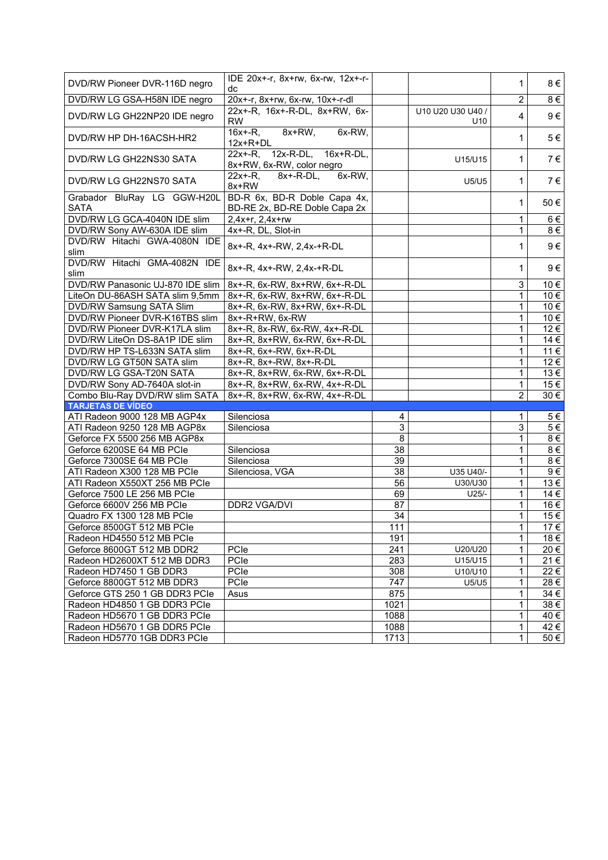| DVD/RW Pioneer DVR-116D negro              | IDE 20x+-r, 8x+rw, 6x-rw, 12x+-r-<br>dc                       |                 |                   | $\mathbf 1$    | 8€       |
|--------------------------------------------|---------------------------------------------------------------|-----------------|-------------------|----------------|----------|
| DVD/RW LG GSA-H58N IDE negro               | 20x+-r, 8x+rw, 6x-rw, 10x+-r-dl                               |                 |                   | $\overline{2}$ | $8 \in$  |
|                                            | 22x+-R, 16x+-R-DL, 8x+RW, 6x-                                 |                 | U10 U20 U30 U40 / |                |          |
| DVD/RW LG GH22NP20 IDE negro               | <b>RW</b>                                                     |                 | U <sub>10</sub>   | $\overline{4}$ | 9€       |
| DVD/RW HP DH-16ACSH-HR2                    | $8x+RW$ ,<br>$16x + R$ ,<br>6x-RW,<br>$12x+R+DL$              |                 |                   | 1              | $5 \in$  |
| DVD/RW LG GH22NS30 SATA                    | 22x+-R, 12x-R-DL, 16x+R-DL,<br>8x+RW, 6x-RW, color negro      |                 | U15/U15           | 1              | 7€       |
| DVD/RW LG GH22NS70 SATA                    | $8x + -R-DL$ ,<br>$22x + -R$ ,<br>6x-RW.<br>8x+RW             |                 | <b>U5/U5</b>      | 1              | 7€       |
| Grabador BluRay LG GGW-H20L<br><b>SATA</b> | BD-R 6x, BD-R Doble Capa 4x,<br>BD-RE 2x, BD-RE Doble Capa 2x |                 |                   | 1              | 50€      |
| DVD/RW LG GCA-4040N IDE slim               | 2,4x+r, 2,4x+rw                                               |                 |                   | $\mathbf{1}$   | 6€       |
| DVD/RW Sony AW-630A IDE slim               | 4x+-R, DL, Slot-in                                            |                 |                   | 1              | 8€       |
| DVD/RW Hitachi GWA-4080N IDE<br>slim       | 8x+-R, 4x+-RW, 2,4x-+R-DL                                     |                 |                   | $\mathbf 1$    | $9 \in$  |
| DVD/RW Hitachi GMA-4082N IDE<br>slim       | 8x+-R, 4x+-RW, 2,4x-+R-DL                                     |                 |                   | 1              | $9 \in$  |
| DVD/RW Panasonic UJ-870 IDE slim           | 8x+-R, 6x-RW, 8x+RW, 6x+-R-DL                                 |                 |                   | 3              | 10 €     |
| LiteOn DU-86ASH SATA slim 9,5mm            | 8x+-R, 6x-RW, 8x+RW, 6x+-R-DL                                 |                 |                   | 1              | 10 €     |
| DVD/RW Samsung SATA Slim                   | 8x+-R, 6x-RW, 8x+RW, 6x+-R-DL                                 |                 |                   | 1              | 10 €     |
| DVD/RW Pioneer DVR-K16TBS slim             | 8x+-R+RW, 6x-RW                                               |                 |                   | $\mathbf{1}$   | 10 €     |
| DVD/RW Pioneer DVR-K17LA slim              | 8x+-R, 8x-RW, 6x-RW, 4x+-R-DL                                 |                 |                   | $\mathbf{1}$   | 12 €     |
| DVD/RW LiteOn DS-8A1P IDE slim             | 8x+-R, 8x+RW, 6x-RW, 6x+-R-DL                                 |                 |                   | 1              | 14 €     |
| DVD/RW HP TS-L633N SATA slim               | 8x+-R, 6x+-RW, 6x+-R-DL                                       |                 |                   | $\mathbf{1}$   | 11 €     |
| DVD/RW LG GT50N SATA slim                  | 8x+-R, 8x+-RW, 8x+-R-DL                                       |                 |                   | $\mathbf{1}$   | 12 €     |
| DVD/RW LG GSA-T20N SATA                    | 8x+-R, 8x+RW, 6x-RW, 6x+-R-DL                                 |                 |                   | 1              | 13€      |
| DVD/RW Sony AD-7640A slot-in               | 8x+-R, 8x+RW, 6x-RW, 4x+-R-DL                                 |                 |                   | $\mathbf{1}$   | 15 €     |
| Combo Blu-Ray DVD/RW slim SATA             | 8x+-R, 8x+RW, 6x-RW, 4x+-R-DL                                 |                 |                   | $\overline{2}$ | 30€      |
| <b>TARJETAS DE VÍDEO</b>                   |                                                               |                 |                   |                |          |
| ATI Radeon 9000 128 MB AGP4x               | Silenciosa                                                    | 4               |                   | 1              | 5€       |
| ATI Radeon 9250 128 MB AGP8x               | Silenciosa                                                    | 3               |                   | 3              | $5 \in$  |
| Geforce FX 5500 256 MB AGP8x               |                                                               | $\overline{8}$  |                   | 1              | 8€       |
| Geforce 6200SE 64 MB PCIe                  | Silenciosa                                                    | 38              |                   | $\mathbf{1}$   | $8 \in$  |
| Geforce 7300SE 64 MB PCIe                  | Silenciosa                                                    | 39              |                   | 1              | 8€       |
| ATI Radeon X300 128 MB PCIe                | Silenciosa, VGA                                               | 38              | U35 U40/-         | 1              | 9€       |
| ATI Radeon X550XT 256 MB PCIe              |                                                               | 56              | U30/U30           | 1              | 13 €     |
| Geforce 7500 LE 256 MB PCIe                |                                                               | 69              | $U25/-$           | $\overline{1}$ | 14 €     |
| Geforce 6600V 256 MB PCle                  | <b>DDR2 VGA/DVI</b>                                           | $\overline{87}$ |                   | $\mathbf{1}$   | 16 €     |
| Quadro FX 1300 128 MB PCle                 |                                                               | $\overline{34}$ |                   | $\mathbf{1}$   | 15 €     |
| Geforce 8500GT 512 MB PCIe                 |                                                               | 111             |                   | $\mathbf{1}$   | 17 €     |
| Radeon HD4550 512 MB PCle                  |                                                               | 191             |                   | $\mathbf{1}$   | 18€      |
| Geforce 8600GT 512 MB DDR2                 | PCle                                                          | 241             | U20/U20           | $\mathbf{1}$   | 20€      |
| Radeon HD2600XT 512 MB DDR3                | PCIe                                                          | 283             | U15/U15           | 1              | 21€      |
| Radeon HD7450 1 GB DDR3                    | PCle                                                          | 308             | U10/U10           | 1              | $22 \in$ |
| Geforce 8800GT 512 MB DDR3                 | PCIe                                                          | 747             | U5/U5             | 1              | 28€      |
| Geforce GTS 250 1 GB DDR3 PCIe             | Asus                                                          | 875             |                   | $\mathbf 1$    | 34 €     |
| Radeon HD4850 1 GB DDR3 PCIe               |                                                               | 1021            |                   | 1              | 38€      |
| Radeon HD5670 1 GB DDR3 PCIe               |                                                               | 1088            |                   | 1              | 40 €     |
| Radeon HD5670 1 GB DDR5 PCIe               |                                                               | 1088            |                   | $\mathbf{1}$   | 42 €     |
| Radeon HD5770 1GB DDR3 PCIe                |                                                               | 1713            |                   | $\mathbf{1}$   | 50 €     |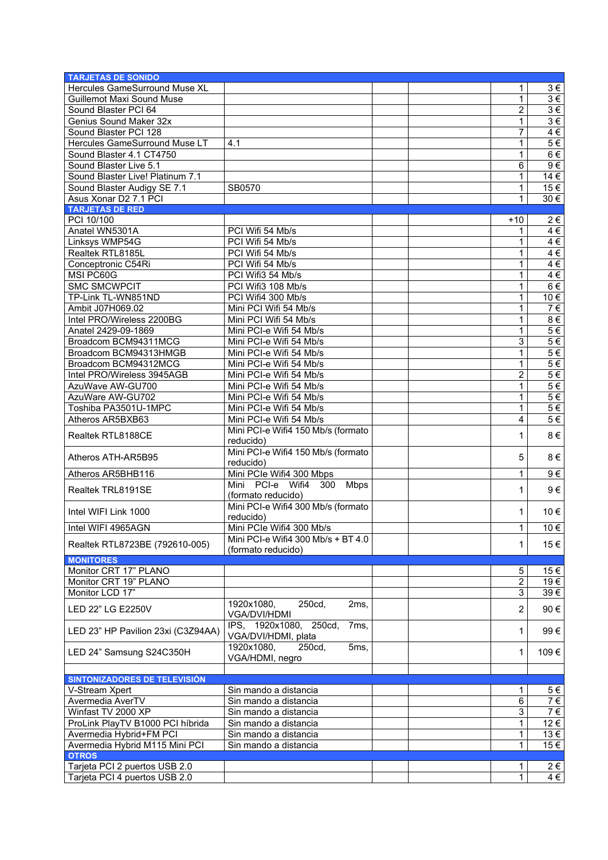| <b>TARJETAS DE SONIDO</b>          |                                    |                |                   |
|------------------------------------|------------------------------------|----------------|-------------------|
| Hercules GameSurround Muse XL      |                                    | $\mathbf{1}$   | $3 \in$           |
| <b>Guillemot Maxi Sound Muse</b>   |                                    | 1              | $3 \in$           |
| Sound Blaster PCI 64               |                                    | 2              | $3 \in$           |
| Genius Sound Maker 32x             |                                    | $\mathbf{1}$   | $3 \in$           |
| Sound Blaster PCI 128              |                                    | 7              | $4 \in$           |
| Hercules GameSurround Muse LT      | 4.1                                | 1              | $5 \in$           |
| Sound Blaster 4.1 CT4750           |                                    | 1              | 6€                |
|                                    |                                    |                |                   |
| Sound Blaster Live 5.1             |                                    | 6              | 9€                |
| Sound Blaster Live! Platinum 7.1   |                                    | $\mathbf{1}$   | $14 \in$          |
| Sound Blaster Audigy SE 7.1        | SB0570                             | 1              | 15€               |
| Asus Xonar D2 7.1 PCI              |                                    | 1              | $30 \in$          |
| <b>TARJETAS DE RED</b>             |                                    |                |                   |
| PCI 10/100                         |                                    | $+10$          | 2€                |
| Anatel WN5301A                     | PCI Wifi 54 Mb/s                   | 1              | 4€                |
| Linksys WMP54G                     | PCI Wifi 54 Mb/s                   | 1              | 4€                |
| Realtek RTL8185L                   | PCI Wifi 54 Mb/s                   | 1              | $4 \in$           |
| Conceptronic C54Ri                 | PCI Wifi 54 Mb/s                   | 1              | 4€                |
| MSI PC60G                          | PCI Wifi3 54 Mb/s                  | 1              | $4 \in$           |
| <b>SMC SMCWPCIT</b>                | PCI Wifi3 108 Mb/s                 | 1              | $6 \in$           |
| TP-Link TL-WN851ND                 | PCI Wifi4 300 Mb/s                 | 1              | 10€               |
| Ambit J07H069.02                   | Mini PCI Wifi 54 Mb/s              | 1              | $7 \in$           |
| Intel PRO/Wireless 2200BG          | Mini PCI Wifi 54 Mb/s              | 1              | 8€                |
| Anatel 2429-09-1869                | Mini PCI-e Wifi 54 Mb/s            | 1              | $5 \in$           |
| Broadcom BCM94311MCG               | Mini PCI-e Wifi 54 Mb/s            | 3              | $5 \in$           |
| Broadcom BCM94313HMGB              | Mini PCI-e Wifi 54 Mb/s            | 1              | $5 \in$           |
| Broadcom BCM94312MCG               | Mini PCI-e Wifi 54 Mb/s            | 1              | $5 \in$           |
| Intel PRO/Wireless 3945AGB         | Mini PCI-e Wifi 54 Mb/s            | 2              | $5 \in$           |
| AzuWave AW-GU700                   | Mini PCI-e Wifi 54 Mb/s            |                | 5€                |
|                                    |                                    | 1              | $5 \in$           |
| AzuWare AW-GU702                   | Mini PCI-e Wifi 54 Mb/s            | 1              |                   |
| Toshiba PA3501U-1MPC               | Mini PCI-e Wifi 54 Mb/s            | 1              | 5€                |
| Atheros AR5BXB63                   | Mini PCI-e Wifi 54 Mb/s            | 4              | $5 \in$           |
| Realtek RTL8188CE                  | Mini PCI-e Wifi4 150 Mb/s (formato | 1              | $8 \in$           |
|                                    | reducido)                          |                |                   |
| Atheros ATH-AR5B95                 | Mini PCI-e Wifi4 150 Mb/s (formato | 5              | 8€                |
|                                    | reducido)                          |                |                   |
| Atheros AR5BHB116                  | Mini PCIe Wifi4 300 Mbps           | $\mathbf{1}$   | 9€                |
| Realtek TRL8191SE                  | Mini PCI-e Wifi4 300 Mbps          | 1              | 9€                |
|                                    | (formato reducido)                 |                |                   |
| Intel WIFI Link 1000               | Mini PCI-e Wifi4 300 Mb/s (formato | 1              | 10 €              |
|                                    | reducido)                          |                |                   |
| Intel WIFI 4965AGN                 | Mini PCIe Wifi4 300 Mb/s           | $\mathbf{1}$   | $10 \in$          |
| Realtek RTL8723BE (792610-005)     | Mini PCI-e Wifi4 300 Mb/s + BT 4.0 | $\mathbf{1}$   | 15 €              |
|                                    | (formato reducido)                 |                |                   |
| <b>MONITORES</b>                   |                                    |                |                   |
| Monitor CRT 17" PLANO              |                                    | 5              | 15 €              |
| Monitor CRT 19" PLANO              |                                    | $\overline{2}$ | 19€               |
| Monitor LCD 17"                    |                                    | 3              | 39€               |
| LED 22" LG E2250V                  | 1920x1080,<br>250cd,<br>2ms,       | $\overline{2}$ | 90€               |
|                                    | VGA/DVI/HDMI                       |                |                   |
| LED 23" HP Pavilion 23xi (C3Z94AA) | IPS, 1920x1080, 250cd,<br>7ms,     | 1              | 99€               |
|                                    | VGA/DVI/HDMI, plata                |                |                   |
| LED 24" Samsung S24C350H           | 1920x1080,<br>250cd,<br>5ms,       | 1              | 109€              |
|                                    | VGA/HDMI, negro                    |                |                   |
|                                    |                                    |                |                   |
| SINTONIZADORES DE TELEVISIÓN       |                                    |                |                   |
| V-Stream Xpert                     | Sin mando a distancia              | 1.             | 5€                |
| Avermedia AverTV                   | Sin mando a distancia              | 6              | 7€                |
| Winfast TV 2000 XP                 | Sin mando a distancia              | 3              | 7€                |
| ProLink PlayTV B1000 PCI híbrida   | Sin mando a distancia              | 1              | 12 €              |
| Avermedia Hybrid+FM PCI            | Sin mando a distancia              | 1              | 13€               |
| Avermedia Hybrid M115 Mini PCI     | Sin mando a distancia              | 1              | $\overline{15}$ € |
| <b>OTROS</b>                       |                                    |                |                   |
| Tarjeta PCI 2 puertos USB 2.0      |                                    | 1.             | 2€                |
| Tarjeta PCI 4 puertos USB 2.0      |                                    | 1              | 4€                |